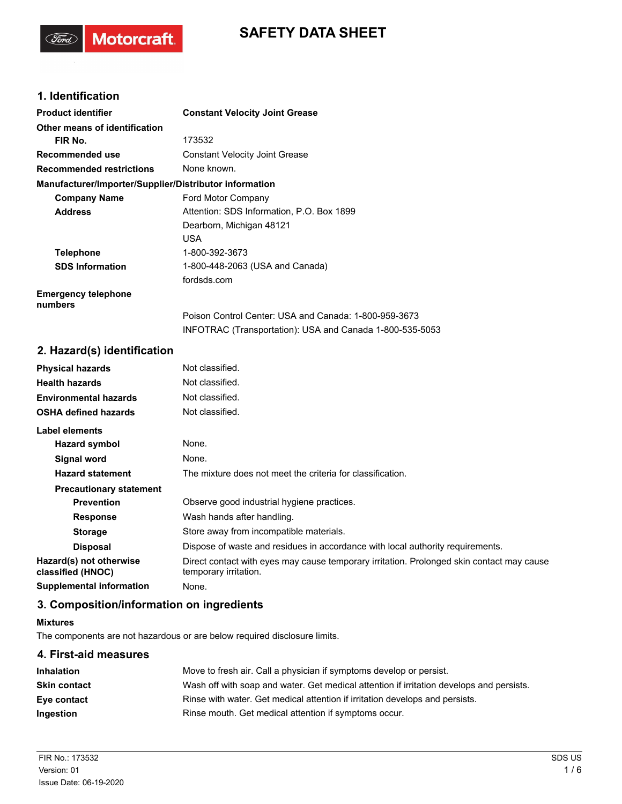## **SAFETY DATA SHEET**

## **1. Identification**

(Ford)

Motorcraft.

| <b>Product identifier</b>                              | <b>Constant Velocity Joint Grease</b>                    |
|--------------------------------------------------------|----------------------------------------------------------|
| Other means of identification                          |                                                          |
| FIR No.                                                | 173532                                                   |
| Recommended use                                        | <b>Constant Velocity Joint Grease</b>                    |
| <b>Recommended restrictions</b>                        | None known.                                              |
| Manufacturer/Importer/Supplier/Distributor information |                                                          |
| <b>Company Name</b>                                    | Ford Motor Company                                       |
| <b>Address</b>                                         | Attention: SDS Information, P.O. Box 1899                |
|                                                        | Dearborn, Michigan 48121                                 |
|                                                        | USA                                                      |
| <b>Telephone</b>                                       | 1-800-392-3673                                           |
| <b>SDS Information</b>                                 | 1-800-448-2063 (USA and Canada)                          |
|                                                        | fordsds.com                                              |
| <b>Emergency telephone</b><br>numbers                  |                                                          |
|                                                        | Poison Control Center: USA and Canada: 1-800-959-3673    |
|                                                        | INFOTRAC (Transportation): USA and Canada 1-800-535-5053 |

## **2. Hazard(s) identification**

| <b>Physical hazards</b>                      | Not classified.                                                                                                    |
|----------------------------------------------|--------------------------------------------------------------------------------------------------------------------|
| <b>Health hazards</b>                        | Not classified.                                                                                                    |
| <b>Environmental hazards</b>                 | Not classified.                                                                                                    |
| <b>OSHA defined hazards</b>                  | Not classified.                                                                                                    |
| Label elements                               |                                                                                                                    |
| Hazard symbol                                | None.                                                                                                              |
| Signal word                                  | None.                                                                                                              |
| <b>Hazard statement</b>                      | The mixture does not meet the criteria for classification.                                                         |
| <b>Precautionary statement</b>               |                                                                                                                    |
| <b>Prevention</b>                            | Observe good industrial hygiene practices.                                                                         |
| <b>Response</b>                              | Wash hands after handling.                                                                                         |
| <b>Storage</b>                               | Store away from incompatible materials.                                                                            |
| <b>Disposal</b>                              | Dispose of waste and residues in accordance with local authority requirements.                                     |
| Hazard(s) not otherwise<br>classified (HNOC) | Direct contact with eyes may cause temporary irritation. Prolonged skin contact may cause<br>temporary irritation. |
| Supplemental information                     | None.                                                                                                              |

## **3. Composition/information on ingredients**

#### **Mixtures**

The components are not hazardous or are below required disclosure limits.

| 4. First-aid measures |                                                                                          |  |
|-----------------------|------------------------------------------------------------------------------------------|--|
| <b>Inhalation</b>     | Move to fresh air. Call a physician if symptoms develop or persist.                      |  |
| Skin contact          | Wash off with soap and water. Get medical attention if irritation develops and persists. |  |
| Eye contact           | Rinse with water. Get medical attention if irritation develops and persists.             |  |
| Ingestion             | Rinse mouth. Get medical attention if symptoms occur.                                    |  |
|                       |                                                                                          |  |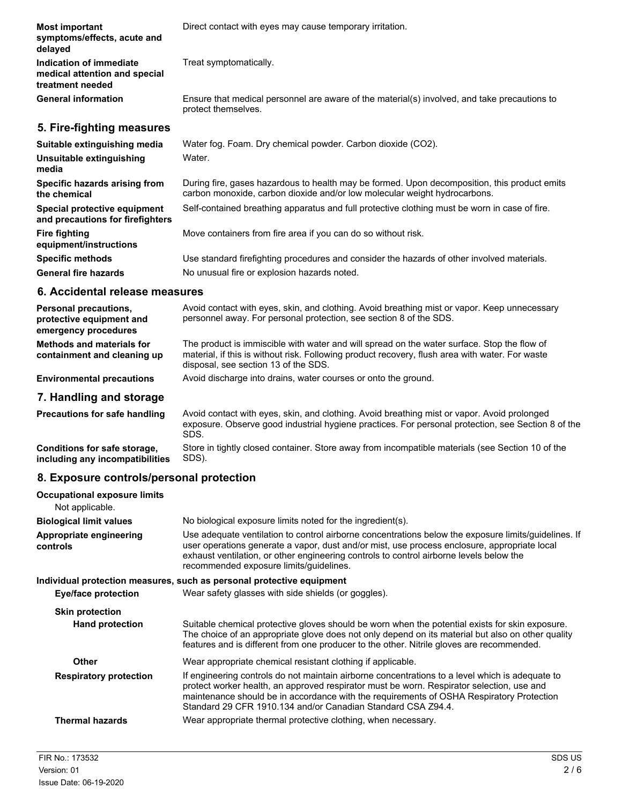| <b>Most important</b><br>symptoms/effects, acute and<br>delayed              | Direct contact with eyes may cause temporary irritation.                                                                                                                  |
|------------------------------------------------------------------------------|---------------------------------------------------------------------------------------------------------------------------------------------------------------------------|
| Indication of immediate<br>medical attention and special<br>treatment needed | Treat symptomatically.                                                                                                                                                    |
| <b>General information</b>                                                   | Ensure that medical personnel are aware of the material(s) involved, and take precautions to<br>protect themselves.                                                       |
| 5. Fire-fighting measures                                                    |                                                                                                                                                                           |
| Suitable extinguishing media                                                 | Water fog. Foam. Dry chemical powder. Carbon dioxide (CO2).                                                                                                               |
| Unsuitable extinguishing<br>media                                            | Water.                                                                                                                                                                    |
| Specific hazards arising from<br>the chemical                                | During fire, gases hazardous to health may be formed. Upon decomposition, this product emits<br>carbon monoxide, carbon dioxide and/or low molecular weight hydrocarbons. |
| Special protective equipment<br>and precautions for firefighters             | Self-contained breathing apparatus and full protective clothing must be worn in case of fire.                                                                             |
| <b>Fire fighting</b><br>equipment/instructions                               | Move containers from fire area if you can do so without risk.                                                                                                             |
| <b>Specific methods</b>                                                      | Use standard firefighting procedures and consider the hazards of other involved materials.                                                                                |
| <b>General fire hazards</b>                                                  | No unusual fire or explosion hazards noted.                                                                                                                               |
|                                                                              |                                                                                                                                                                           |

## **6. Accidental release measures**

| <b>Personal precautions,</b><br>protective equipment and<br>emergency procedures | Avoid contact with eyes, skin, and clothing. Avoid breathing mist or vapor. Keep unnecessary<br>personnel away. For personal protection, see section 8 of the SDS.                                                                     |
|----------------------------------------------------------------------------------|----------------------------------------------------------------------------------------------------------------------------------------------------------------------------------------------------------------------------------------|
| Methods and materials for<br>containment and cleaning up                         | The product is immiscible with water and will spread on the water surface. Stop the flow of<br>material, if this is without risk. Following product recovery, flush area with water. For waste<br>disposal, see section 13 of the SDS. |
| <b>Environmental precautions</b>                                                 | Avoid discharge into drains, water courses or onto the ground.                                                                                                                                                                         |
| 7. Handling and storage                                                          |                                                                                                                                                                                                                                        |

| <b>Precautions for safe handling</b> | Avoid contact with eyes, skin, and clothing. Avoid breathing mist or vapor. Avoid prolonged<br>exposure. Observe good industrial hygiene practices. For personal protection, see Section 8 of the<br>SDS. |
|--------------------------------------|-----------------------------------------------------------------------------------------------------------------------------------------------------------------------------------------------------------|
| Conditions for safe storage,         | Store in tightly closed container. Store away from incompatible materials (see Section 10 of the                                                                                                          |
| including any incompatibilities      | SDS).                                                                                                                                                                                                     |

## **8. Exposure controls/personal protection**

| <b>Occupational exposure limits</b><br>Not applicable. |                                                                                                                                                                                                                                                                                                                                                          |
|--------------------------------------------------------|----------------------------------------------------------------------------------------------------------------------------------------------------------------------------------------------------------------------------------------------------------------------------------------------------------------------------------------------------------|
| <b>Biological limit values</b>                         | No biological exposure limits noted for the ingredient(s).                                                                                                                                                                                                                                                                                               |
| Appropriate engineering<br>controls                    | Use adequate ventilation to control airborne concentrations below the exposure limits/guidelines. If<br>user operations generate a vapor, dust and/or mist, use process enclosure, appropriate local<br>exhaust ventilation, or other engineering controls to control airborne levels below the<br>recommended exposure limits/guidelines.               |
|                                                        | Individual protection measures, such as personal protective equipment                                                                                                                                                                                                                                                                                    |
| <b>Eye/face protection</b>                             | Wear safety glasses with side shields (or goggles).                                                                                                                                                                                                                                                                                                      |
| <b>Skin protection</b>                                 |                                                                                                                                                                                                                                                                                                                                                          |
| <b>Hand protection</b>                                 | Suitable chemical protective gloves should be worn when the potential exists for skin exposure.<br>The choice of an appropriate glove does not only depend on its material but also on other quality<br>features and is different from one producer to the other. Nitrile gloves are recommended.                                                        |
| Other                                                  | Wear appropriate chemical resistant clothing if applicable.                                                                                                                                                                                                                                                                                              |
| <b>Respiratory protection</b>                          | If engineering controls do not maintain airborne concentrations to a level which is adequate to<br>protect worker health, an approved respirator must be worn. Respirator selection, use and<br>maintenance should be in accordance with the requirements of OSHA Respiratory Protection<br>Standard 29 CFR 1910.134 and/or Canadian Standard CSA Z94.4. |
| <b>Thermal hazards</b>                                 | Wear appropriate thermal protective clothing, when necessary.                                                                                                                                                                                                                                                                                            |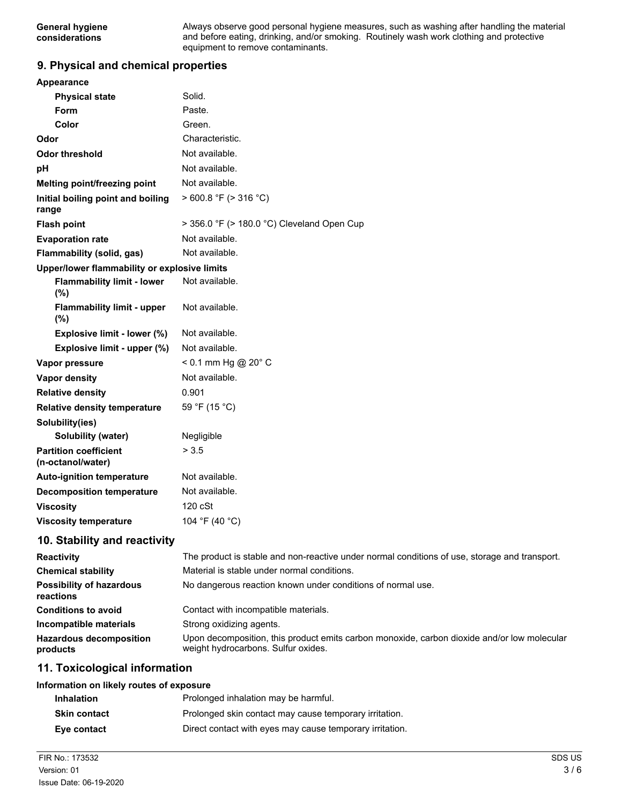#### **9. Physical and chemical properties**

| <b>Appearance</b>                                 |                                                                |
|---------------------------------------------------|----------------------------------------------------------------|
| <b>Physical state</b>                             | Solid.                                                         |
| Form                                              | Paste.                                                         |
| Color                                             | Green.                                                         |
| Odor                                              | Characteristic.                                                |
| <b>Odor threshold</b>                             | Not available.                                                 |
| pH                                                | Not available.                                                 |
| Melting point/freezing point                      | Not available.                                                 |
| Initial boiling point and boiling<br>range        | >600.8 °F (> 316 °C)                                           |
| <b>Flash point</b>                                | > 356.0 °F (> 180.0 °C) Cleveland Open Cup                     |
| <b>Evaporation rate</b>                           | Not available.                                                 |
| Flammability (solid, gas)                         | Not available.                                                 |
| Upper/lower flammability or explosive limits      |                                                                |
| <b>Flammability limit - lower</b><br>(%)          | Not available.                                                 |
| <b>Flammability limit - upper</b><br>(%)          | Not available.                                                 |
| Explosive limit - lower (%)                       | Not available.                                                 |
| Explosive limit - upper (%)                       | Not available.                                                 |
| Vapor pressure                                    | $< 0.1$ mm Hg @ 20 $^{\circ}$ C                                |
| <b>Vapor density</b>                              | Not available.                                                 |
| <b>Relative density</b>                           | 0.901                                                          |
| Relative density temperature                      | 59 °F (15 °C)                                                  |
| Solubility(ies)                                   |                                                                |
| Solubility (water)                                | Negligible                                                     |
| <b>Partition coefficient</b><br>(n-octanol/water) | > 3.5                                                          |
| <b>Auto-ignition temperature</b>                  | Not available.                                                 |
| <b>Decomposition temperature</b>                  | Not available.                                                 |
| <b>Viscosity</b>                                  | $120 \text{ cSt}$                                              |
| <b>Viscosity temperature</b>                      | 104 °F (40 °C)                                                 |
| 10. Stability and reactivity                      |                                                                |
| <b>Reactivity</b>                                 | The product is stable and non-reactive under normal conditions |
| $-1.212$                                          | Material is stable under nerosal senditions                    |

| <b>Reactivity</b>                            | The product is stable and non-reactive under normal conditions of use, storage and transport.                                      |  |
|----------------------------------------------|------------------------------------------------------------------------------------------------------------------------------------|--|
| <b>Chemical stability</b>                    | Material is stable under normal conditions.                                                                                        |  |
| <b>Possibility of hazardous</b><br>reactions | No dangerous reaction known under conditions of normal use.                                                                        |  |
| <b>Conditions to avoid</b>                   | Contact with incompatible materials.                                                                                               |  |
| Incompatible materials                       | Strong oxidizing agents.                                                                                                           |  |
| <b>Hazardous decomposition</b><br>products   | Upon decomposition, this product emits carbon monoxide, carbon dioxide and/or low molecular<br>weight hydrocarbons. Sulfur oxides. |  |

### **11. Toxicological information**

#### **Information on likely routes of exposure**

| <b>Inhalation</b>   | Prolonged inhalation may be harmful.                     |
|---------------------|----------------------------------------------------------|
| <b>Skin contact</b> | Prolonged skin contact may cause temporary irritation.   |
| Eye contact         | Direct contact with eyes may cause temporary irritation. |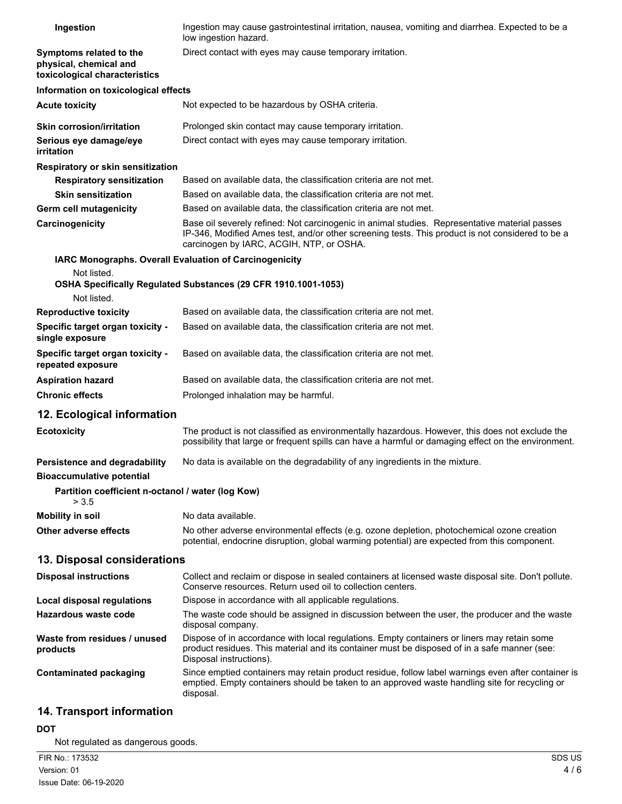| Ingestion                                                                          | Ingestion may cause gastrointestinal irritation, nausea, vomiting and diarrhea. Expected to be a<br>low ingestion hazard.                                                                                                                     |
|------------------------------------------------------------------------------------|-----------------------------------------------------------------------------------------------------------------------------------------------------------------------------------------------------------------------------------------------|
| Symptoms related to the<br>physical, chemical and<br>toxicological characteristics | Direct contact with eyes may cause temporary irritation.                                                                                                                                                                                      |
| Information on toxicological effects                                               |                                                                                                                                                                                                                                               |
| <b>Acute toxicity</b>                                                              | Not expected to be hazardous by OSHA criteria.                                                                                                                                                                                                |
| <b>Skin corrosion/irritation</b>                                                   | Prolonged skin contact may cause temporary irritation.                                                                                                                                                                                        |
| Serious eye damage/eye<br>irritation                                               | Direct contact with eyes may cause temporary irritation.                                                                                                                                                                                      |
| Respiratory or skin sensitization                                                  |                                                                                                                                                                                                                                               |
| <b>Respiratory sensitization</b>                                                   | Based on available data, the classification criteria are not met.                                                                                                                                                                             |
| <b>Skin sensitization</b>                                                          | Based on available data, the classification criteria are not met.                                                                                                                                                                             |
| Germ cell mutagenicity                                                             | Based on available data, the classification criteria are not met.                                                                                                                                                                             |
| Carcinogenicity                                                                    | Base oil severely refined: Not carcinogenic in animal studies. Representative material passes<br>IP-346, Modified Ames test, and/or other screening tests. This product is not considered to be a<br>carcinogen by IARC, ACGIH, NTP, or OSHA. |
| IARC Monographs. Overall Evaluation of Carcinogenicity                             |                                                                                                                                                                                                                                               |
| Not listed.<br>Not listed.                                                         | OSHA Specifically Regulated Substances (29 CFR 1910.1001-1053)                                                                                                                                                                                |
| <b>Reproductive toxicity</b>                                                       | Based on available data, the classification criteria are not met.                                                                                                                                                                             |
| Specific target organ toxicity -<br>single exposure                                | Based on available data, the classification criteria are not met.                                                                                                                                                                             |
| Specific target organ toxicity -<br>repeated exposure                              | Based on available data, the classification criteria are not met.                                                                                                                                                                             |
| <b>Aspiration hazard</b>                                                           | Based on available data, the classification criteria are not met.                                                                                                                                                                             |
| <b>Chronic effects</b>                                                             | Prolonged inhalation may be harmful.                                                                                                                                                                                                          |
| 12. Ecological information                                                         |                                                                                                                                                                                                                                               |
| <b>Ecotoxicity</b>                                                                 | The product is not classified as environmentally hazardous. However, this does not exclude the<br>possibility that large or frequent spills can have a harmful or damaging effect on the environment.                                         |
| Persistence and degradability<br><b>Bioaccumulative potential</b>                  | No data is available on the degradability of any ingredients in the mixture.                                                                                                                                                                  |
| Partition coefficient n-octanol / water (log Kow)<br>> 3.5                         |                                                                                                                                                                                                                                               |
| <b>Mobility in soil</b>                                                            | No data available.                                                                                                                                                                                                                            |
| Other adverse effects                                                              | No other adverse environmental effects (e.g. ozone depletion, photochemical ozone creation<br>potential, endocrine disruption, global warming potential) are expected from this component.                                                    |
| 13. Disposal considerations                                                        |                                                                                                                                                                                                                                               |
| <b>Disposal instructions</b>                                                       | Collect and reclaim or dispose in sealed containers at licensed waste disposal site. Don't pollute.<br>Conserve resources. Return used oil to collection centers.                                                                             |
| <b>Local disposal regulations</b>                                                  | Dispose in accordance with all applicable regulations.                                                                                                                                                                                        |
| <b>Hazardous waste code</b>                                                        | The waste code should be assigned in discussion between the user, the producer and the waste<br>disposal company.                                                                                                                             |
| Waste from residues / unused<br>products                                           | Dispose of in accordance with local regulations. Empty containers or liners may retain some<br>product residues. This material and its container must be disposed of in a safe manner (see:<br>Disposal instructions).                        |
| <b>Contaminated packaging</b>                                                      | Since emptied containers may retain product residue, follow label warnings even after container is<br>emptied. Empty containers should be taken to an approved waste handling site for recycling or<br>disposal.                              |
| 14. Transport information                                                          |                                                                                                                                                                                                                                               |

# **DOT**

Not regulated as dangerous goods.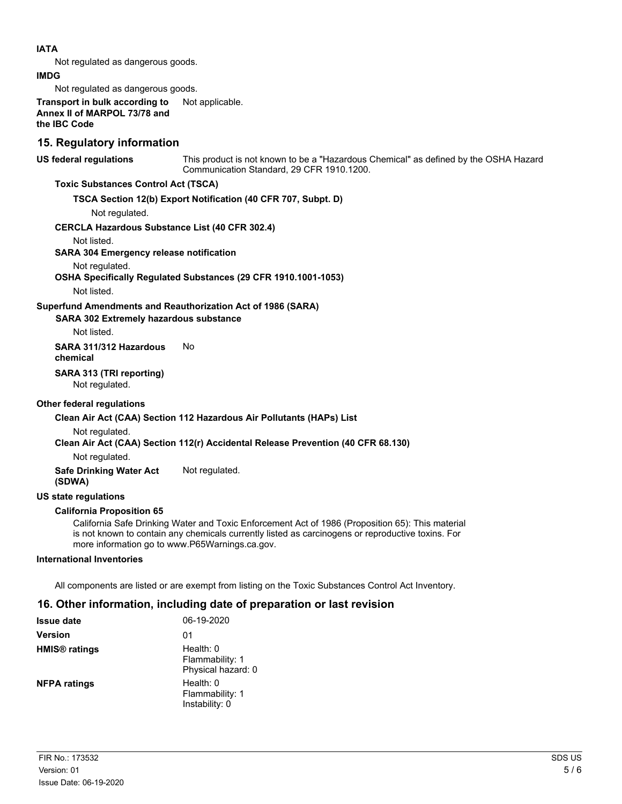#### **IATA**

Not regulated as dangerous goods.

#### **IMDG**

Not regulated as dangerous goods.

**Transport in bulk according to** Not applicable. **Annex II of MARPOL 73/78 and the IBC Code**

### **15. Regulatory information**

**US federal regulations**

This product is not known to be a "Hazardous Chemical" as defined by the OSHA Hazard Communication Standard, 29 CFR 1910.1200.

#### **Toxic Substances Control Act (TSCA)**

#### **TSCA Section 12(b) Export Notification (40 CFR 707, Subpt. D)**

Not regulated.

#### **CERCLA Hazardous Substance List (40 CFR 302.4)**

Not listed.

#### **SARA 304 Emergency release notification**

#### Not regulated.

**OSHA Specifically Regulated Substances (29 CFR 1910.1001-1053)**

Not listed.

#### **Superfund Amendments and Reauthorization Act of 1986 (SARA)**

#### **SARA 302 Extremely hazardous substance**

Not listed.

#### **SARA 311/312 Hazardous** No **chemical**

**SARA 313 (TRI reporting)**

Not regulated.

#### **Other federal regulations**

#### **Clean Air Act (CAA) Section 112 Hazardous Air Pollutants (HAPs) List**

Not regulated.

#### **Clean Air Act (CAA) Section 112(r) Accidental Release Prevention (40 CFR 68.130)**

Not regulated.

**Safe Drinking Water Act** Not regulated. **(SDWA)**

#### **US state regulations**

#### **California Proposition 65**

California Safe Drinking Water and Toxic Enforcement Act of 1986 (Proposition 65): This material is not known to contain any chemicals currently listed as carcinogens or reproductive toxins. For more information go to www.P65Warnings.ca.gov.

#### **International Inventories**

All components are listed or are exempt from listing on the Toxic Substances Control Act Inventory.

## **16. Other information, including date of preparation or last revision**

| <b>Issue date</b>               | 06-19-2020                                         |
|---------------------------------|----------------------------------------------------|
| <b>Version</b>                  | 01                                                 |
| <b>HMIS<sup>®</sup></b> ratings | Health: 0<br>Flammability: 1<br>Physical hazard: 0 |
| <b>NFPA ratings</b>             | Health: 0<br>Flammability: 1<br>Instability: 0     |